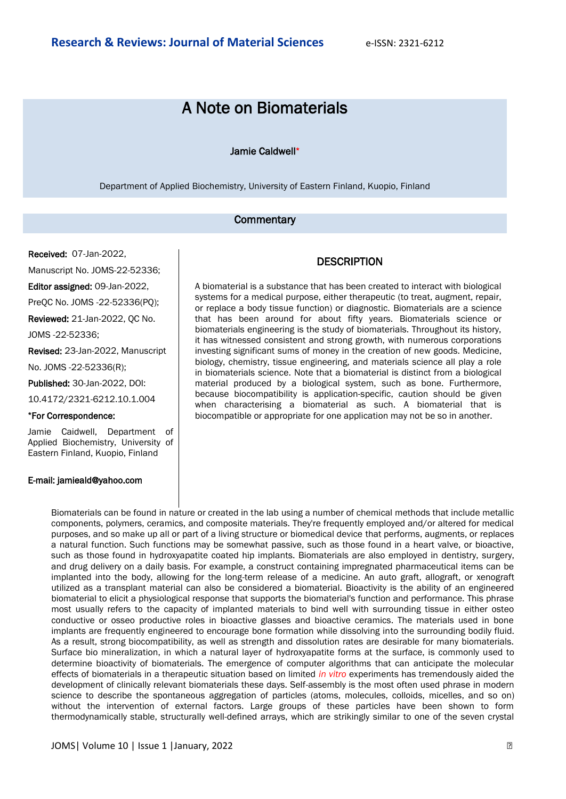# A Note on Biomaterials

### Jamie Caldwell\*

Department of Applied Biochemistry, University of Eastern Finland, Kuopio, Finland

## **Commentary**

Received: 07-Jan-2022,

Manuscript No. JOMS-22-52336;

Editor assigned: 09-Jan-2022,

PreQC No. JOMS -22-52336(PQ);

Reviewed: 21-Jan-2022, QC No.

JOMS -22-52336;

Revised: 23-Jan-2022, Manuscript No. JOMS -22-52336(R);

Published: 30-Jan-2022, DOI:

10.4172/2321-6212.10.1.004

#### \*For Correspondence:

Jamie Caidwell, Department of Applied Biochemistry, University of Eastern Finland, Kuopio, Finland

#### E-mail: jamieald@yahoo.com

## **DESCRIPTION**

A biomaterial is a substance that has been created to interact with biological systems for a medical purpose, either therapeutic (to treat, augment, repair, or replace a body tissue function) or diagnostic. Biomaterials are a science that has been around for about fifty years. Biomaterials science or biomaterials engineering is the study of biomaterials. Throughout its history, it has witnessed consistent and strong growth, with numerous corporations investing significant sums of money in the creation of new goods. Medicine, biology, chemistry, tissue engineering, and materials science all play a role in biomaterials science. Note that a biomaterial is distinct from a biological material produced by a biological system, such as bone. Furthermore, because biocompatibility is application-specific, caution should be given when characterising a biomaterial as such. A biomaterial that is biocompatible or appropriate for one application may not be so in another.

Biomaterials can be found in nature or created in the lab using a number of chemical methods that include metallic components, polymers, ceramics, and composite materials. They're frequently employed and/or altered for medical purposes, and so make up all or part of a living structure or biomedical device that performs, augments, or replaces a natural function. Such functions may be somewhat passive, such as those found in a heart valve, or bioactive, such as those found in hydroxyapatite coated hip implants. Biomaterials are also employed in dentistry, surgery, and drug delivery on a daily basis. For example, a construct containing impregnated pharmaceutical items can be implanted into the body, allowing for the long-term release of a medicine. An auto graft, allograft, or xenograft utilized as a transplant material can also be considered a biomaterial. Bioactivity is the ability of an engineered biomaterial to elicit a physiological response that supports the biomaterial's function and performance. This phrase most usually refers to the capacity of implanted materials to bind well with surrounding tissue in either osteo conductive or osseo productive roles in bioactive glasses and bioactive ceramics. The materials used in bone implants are frequently engineered to encourage bone formation while dissolving into the surrounding bodily fluid. As a result, strong biocompatibility, as well as strength and dissolution rates are desirable for many biomaterials. Surface bio mineralization, in which a natural layer of hydroxyapatite forms at the surface, is commonly used to determine bioactivity of biomaterials. The emergence of computer algorithms that can anticipate the molecular effects of biomaterials in a therapeutic situation based on limited *in vitro* experiments has tremendously aided the development of clinically relevant biomaterials these days. Self-assembly is the most often used phrase in modern science to describe the spontaneous aggregation of particles (atoms, molecules, colloids, micelles, and so on) without the intervention of external factors. Large groups of these particles have been shown to form thermodynamically stable, structurally well-defined arrays, which are strikingly similar to one of the seven crystal